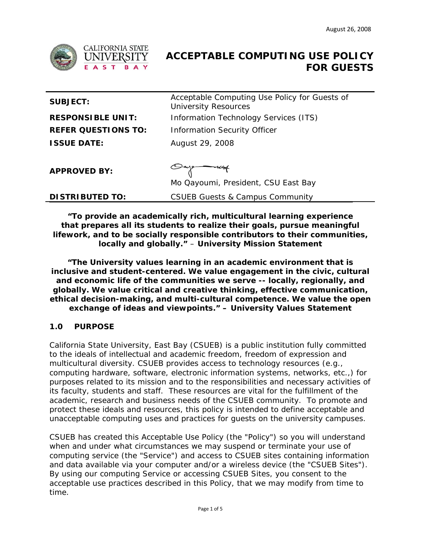

# **ACCEPTABLE COMPUTING USE POLICY FOR GUESTS**

| <b>SUBJECT:</b>            | Acceptable Computing Use Policy for Guests of<br><b>University Resources</b> |
|----------------------------|------------------------------------------------------------------------------|
| <b>RESPONSIBLE UNIT:</b>   | Information Technology Services (ITS)                                        |
| <b>REFER QUESTIONS TO:</b> | <b>Information Security Officer</b>                                          |
| <b>ISSUE DATE:</b>         | August 29, 2008                                                              |
|                            |                                                                              |
| <b>APPROVED BY:</b>        |                                                                              |
|                            | Mo Qayoumi, President, CSU East Bay                                          |
| <b>DISTRIBUTED TO:</b>     | <b>CSUEB Guests &amp; Campus Community</b>                                   |

**"To provide an academically rich, multicultural learning experience that prepares all its students to realize their goals, pursue meaningful lifework, and to be socially responsible contributors to their communities, locally and globally."** – **University Mission Statement** 

**"The University values learning in an academic environment that is inclusive and student-centered. We value engagement in the civic, cultural and economic life of the communities we serve -- locally, regionally, and globally. We value critical and creative thinking, effective communication, ethical decision-making, and multi-cultural competence. We value the open exchange of ideas and viewpoints." – University Values Statement** 

# **1.0 PURPOSE**

California State University, East Bay (CSUEB) is a public institution fully committed to the ideals of intellectual and academic freedom, freedom of expression and multicultural diversity. CSUEB provides access to technology resources (e.g., computing hardware, software, electronic information systems, networks, etc.,) for purposes related to its mission and to the responsibilities and necessary activities of its faculty, students and staff. These resources are vital for the fulfillment of the academic, research and business needs of the CSUEB community. To promote and protect these ideals and resources, this policy is intended to define acceptable and unacceptable computing uses and practices for guests on the university campuses.

CSUEB has created this Acceptable Use Policy (the "Policy") so you will understand when and under what circumstances we may suspend or terminate your use of computing service (the "Service") and access to CSUEB sites containing information and data available via your computer and/or a wireless device (the "CSUEB Sites"). By using our computing Service or accessing CSUEB Sites, you consent to the acceptable use practices described in this Policy, that we may modify from time to time.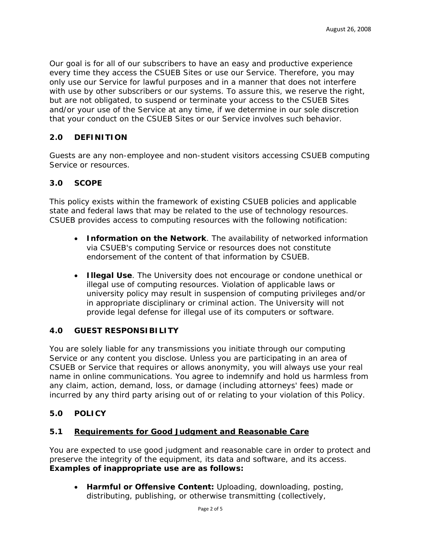Our goal is for all of our subscribers to have an easy and productive experience every time they access the CSUEB Sites or use our Service. Therefore, you may only use our Service for lawful purposes and in a manner that does not interfere with use by other subscribers or our systems. To assure this, we reserve the right, but are not obligated, to suspend or terminate your access to the CSUEB Sites and/or your use of the Service at any time, if we determine in our sole discretion that your conduct on the CSUEB Sites or our Service involves such behavior.

# **2.0 DEFINITION**

Guests are any non-employee and non-student visitors accessing CSUEB computing Service or resources.

# **3.0 SCOPE**

This policy exists within the framework of existing CSUEB policies and applicable state and federal laws that may be related to the use of technology resources. CSUEB provides access to computing resources with the following notification:

- **Information on the Network**. The availability of networked information via CSUEB's computing Service or resources does not constitute endorsement of the content of that information by CSUEB.
- **Illegal Use**. The University does not encourage or condone unethical or illegal use of computing resources. Violation of applicable laws or university policy may result in suspension of computing privileges and/or in appropriate disciplinary or criminal action. The University will not provide legal defense for illegal use of its computers or software.

#### **4.0 GUEST RESPONSIBILITY**

You are solely liable for any transmissions you initiate through our computing Service or any content you disclose. Unless you are participating in an area of CSUEB or Service that requires or allows anonymity, you will always use your real name in online communications. You agree to indemnify and hold us harmless from any claim, action, demand, loss, or damage (including attorneys' fees) made or incurred by any third party arising out of or relating to your violation of this Policy.

#### **5.0 POLICY**

#### **5.1 Requirements for Good Judgment and Reasonable Care**

You are expected to use good judgment and reasonable care in order to protect and preserve the integrity of the equipment, its data and software, and its access. *Examples of inappropriate use are as follows:* 

• **Harmful or Offensive Content:** Uploading, downloading, posting, distributing, publishing, or otherwise transmitting (collectively,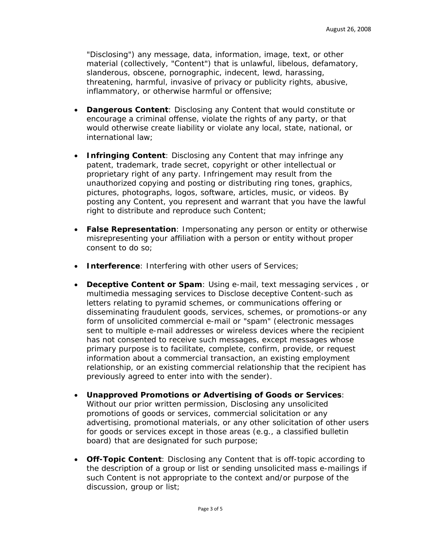"Disclosing") any message, data, information, image, text, or other material (collectively, "Content") that is unlawful, libelous, defamatory, slanderous, obscene, pornographic, indecent, lewd, harassing, threatening, harmful, invasive of privacy or publicity rights, abusive, inflammatory, or otherwise harmful or offensive;

- **Dangerous Content**: Disclosing any Content that would constitute or encourage a criminal offense, violate the rights of any party, or that would otherwise create liability or violate any local, state, national, or international law;
- **Infringing Content**: Disclosing any Content that may infringe any patent, trademark, trade secret, copyright or other intellectual or proprietary right of any party. Infringement may result from the unauthorized copying and posting or distributing ring tones, graphics, pictures, photographs, logos, software, articles, music, or videos. By posting any Content, you represent and warrant that you have the lawful right to distribute and reproduce such Content;
- **False Representation**: Impersonating any person or entity or otherwise misrepresenting your affiliation with a person or entity without proper consent to do so;
- **Interference**: Interfering with other users of Services;
- **Deceptive Content or Spam**: Using e-mail, text messaging services , or multimedia messaging services to Disclose deceptive Content-such as letters relating to pyramid schemes, or communications offering or disseminating fraudulent goods, services, schemes, or promotions-or any form of unsolicited commercial e-mail or "spam" (electronic messages sent to multiple e-mail addresses or wireless devices where the recipient has not consented to receive such messages, except messages whose primary purpose is to facilitate, complete, confirm, provide, or request information about a commercial transaction, an existing employment relationship, or an existing commercial relationship that the recipient has previously agreed to enter into with the sender).
- **Unapproved Promotions or Advertising of Goods or Services**: Without our prior written permission, Disclosing any unsolicited promotions of goods or services, commercial solicitation or any advertising, promotional materials, or any other solicitation of other users for goods or services except in those areas (e.g., a classified bulletin board) that are designated for such purpose;
- **Off-Topic Content**: Disclosing any Content that is off-topic according to the description of a group or list or sending unsolicited mass e-mailings if such Content is not appropriate to the context and/or purpose of the discussion, group or list;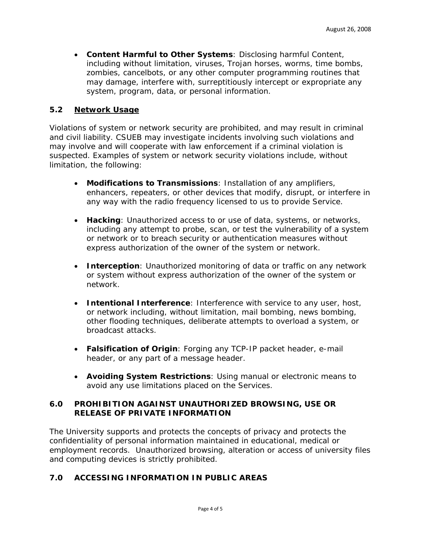• **Content Harmful to Other Systems**: Disclosing harmful Content, including without limitation, viruses, Trojan horses, worms, time bombs, zombies, cancelbots, or any other computer programming routines that may damage, interfere with, surreptitiously intercept or expropriate any system, program, data, or personal information.

# **5.2 Network Usage**

Violations of system or network security are prohibited, and may result in criminal and civil liability. CSUEB may investigate incidents involving such violations and may involve and will cooperate with law enforcement if a criminal violation is suspected. Examples of system or network security violations include, without limitation, the following:

- **Modifications to Transmissions**: Installation of any amplifiers, enhancers, repeaters, or other devices that modify, disrupt, or interfere in any way with the radio frequency licensed to us to provide Service.
- **Hacking**: Unauthorized access to or use of data, systems, or networks, including any attempt to probe, scan, or test the vulnerability of a system or network or to breach security or authentication measures without express authorization of the owner of the system or network.
- **Interception**: Unauthorized monitoring of data or traffic on any network or system without express authorization of the owner of the system or network.
- **Intentional Interference**: Interference with service to any user, host, or network including, without limitation, mail bombing, news bombing, other flooding techniques, deliberate attempts to overload a system, or broadcast attacks.
- **Falsification of Origin**: Forging any TCP-IP packet header, e-mail header, or any part of a message header.
- **Avoiding System Restrictions**: Using manual or electronic means to avoid any use limitations placed on the Services.

#### **6.0 PROHIBITION AGAINST UNAUTHORIZED BROWSING, USE OR RELEASE OF PRIVATE INFORMATION**

The University supports and protects the concepts of privacy and protects the confidentiality of personal information maintained in educational, medical or employment records. Unauthorized browsing, alteration or access of university files and computing devices is strictly prohibited.

# **7.0 ACCESSING INFORMATION IN PUBLIC AREAS**